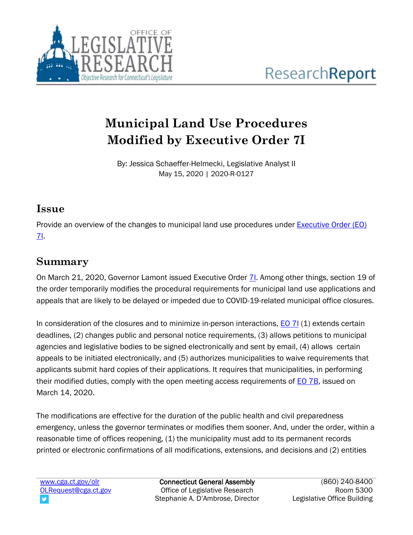

# **Municipal Land Use Procedures Modified by Executive Order 7I**

By: Jessica Schaeffer-Helmecki, Legislative Analyst II May 15, 2020 | 2020-R-0127

#### **Issue**

Provide an overview of the changes to municipal land use procedures under [Executive Order \(EO\)](https://portal.ct.gov/-/media/Office-of-the-Governor/Executive-Orders/Lamont-Executive-Orders/Executive-Order-No-7I.pdf)  [7I.](https://portal.ct.gov/-/media/Office-of-the-Governor/Executive-Orders/Lamont-Executive-Orders/Executive-Order-No-7I.pdf)

## **Summary**

On March 21, 2020, Governor Lamont issued Executive Order 71. Among other things, section 19 of the order temporarily modifies the procedural requirements for municipal land use applications and appeals that are likely to be delayed or impeded due to COVID-19-related municipal office closures.

In consideration of the closures and to minimize in-person interactions,  $E_0$  7I (1) extends certain deadlines, (2) changes public and personal notice requirements, (3) allows petitions to municipal agencies and legislative bodies to be signed electronically and sent by email, (4) allows certain appeals to be initiated electronically, and (5) authorizes municipalities to waive requirements that applicants submit hard copies of their applications. It requires that municipalities, in performing their modified duties, comply with the open meeting access requirements of **EO** 7B, issued on March 14, 2020.

The modifications are effective for the duration of the public health and civil preparedness emergency, unless the governor terminates or modifies them sooner. And, under the order, within a reasonable time of offices reopening, (1) the municipality must add to its permanent records printed or electronic confirmations of all modifications, extensions, and decisions and (2) entities

Connecticut General Assembly Office of Legislative Research Stephanie A. D'Ambrose, Director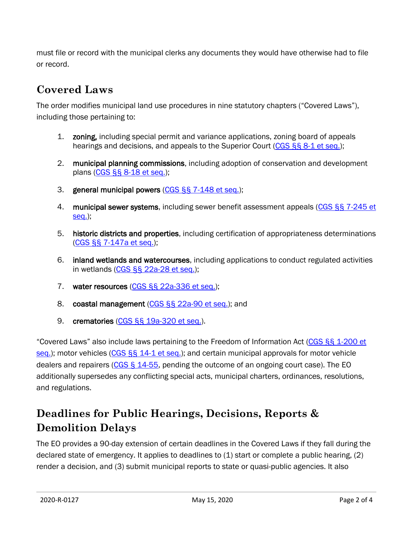must file or record with the municipal clerks any documents they would have otherwise had to file or record.

## **Covered Laws**

The order modifies municipal land use procedures in nine statutory chapters ("Covered Laws"), including those pertaining to:

- 1. zoning, including special permit and variance applications, zoning board of appeals hearings and decisions, and appeals to the Superior Court (CGS §§ [8-1 et seq.\)](https://www.cga.ct.gov/current/pub/chap_124.htm#sec_8-1);
- 2. municipal planning commissions, including adoption of conservation and development plans (CGS §§ [8-18 et seq.\)](https://www.cga.ct.gov/current/pub/chap_126.htm#sec_8-18);
- 3. general municipal powers (CGS §§ [7-148 et seq.\)](https://www.cga.ct.gov/current/pub/chap_098.htm#sec_7-148);
- 4. municipal sewer systems, including sewer benefit assessment appeals (CGS §§ 7-245 et [seq.\)](https://www.cga.ct.gov/current/pub/chap_103.htm#sec_7-245);
- 5. historic districts and properties, including certification of appropriateness determinations (CGS §§ [7-147a et seq.\)](https://www.cga.ct.gov/current/pub/chap_097a.htm#sec_7-147a);
- 6. inland wetlands and watercourses, including applications to conduct regulated activities in wetlands (CGS §§ [22a-28 et seq.\)](https://www.cga.ct.gov/current/pub/chap_440.htm#sec_22a-28);
- 7. water resources (CGS §§ [22a-336 et seq.\)](https://www.cga.ct.gov/current/pub/chap_446i.htm#sec_22a-336);
- 8. coastal management (CGS §§ [22a-90 et seq.\)](https://www.cga.ct.gov/current/pub/chap_444.htm#sec_22a-90); and
- 9. crematories (CGS §§ [19a-320 et seq.\)](https://www.cga.ct.gov/current/pub/chap_368k.htm#sec_19a-320).

"Covered Laws" also include laws pertaining to the Freedom of Information Act (CGS §§ 1-200 et [seq.\)](https://www.cga.ct.gov/current/pub/chap_014.htm#sec_1-200); motor vehicles (CGS §§ [14-1 et seq.\)](https://www.cga.ct.gov/current/pub/chap_246.htm#sec_14-1); and certain municipal approvals for motor vehicle dealers and repairers [\(CGS § 14-55,](https://www.cga.ct.gov/current/pub/chap_246.htm#sec_14-55) pending the outcome of an ongoing court case). The EO additionally supersedes any conflicting special acts, municipal charters, ordinances, resolutions, and regulations.

## **Deadlines for Public Hearings, Decisions, Reports & Demolition Delays**

The EO provides a 90-day extension of certain deadlines in the Covered Laws if they fall during the declared state of emergency. It applies to deadlines to (1) start or complete a public hearing, (2) render a decision, and (3) submit municipal reports to state or quasi-public agencies. It also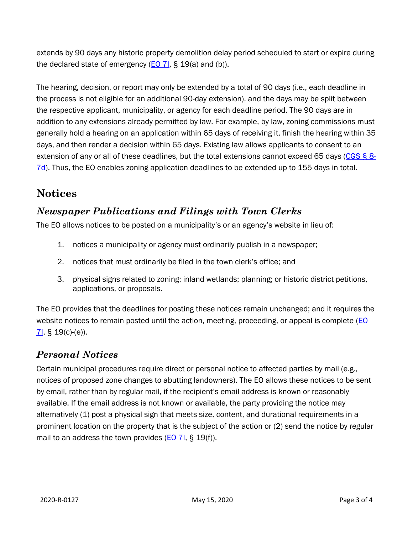extends by 90 days any historic property demolition delay period scheduled to start or expire during the declared state of emergency  $(EO 7I, S, 19(a)$  $(EO 7I, S, 19(a)$  and (b)).

The hearing, decision, or report may only be extended by a total of 90 days (i.e., each deadline in the process is not eligible for an additional 90-day extension), and the days may be split between the respective applicant, municipality, or agency for each deadline period. The 90 days are in addition to any extensions already permitted by law. For example, by law, zoning commissions must generally hold a hearing on an application within 65 days of receiving it, finish the hearing within 35 days, and then render a decision within 65 days. Existing law allows applicants to consent to an extension of any or all of these deadlines, but the total extensions cannot exceed 65 days [\(CGS §](https://www.cga.ct.gov/current/pub/chap_124.htm#sec_8-7d) 8- [7d\)](https://www.cga.ct.gov/current/pub/chap_124.htm#sec_8-7d). Thus, the EO enables zoning application deadlines to be extended up to 155 days in total.

## **Notices**

#### *Newspaper Publications and Filings with Town Clerks*

The EO allows notices to be posted on a municipality's or an agency's website in lieu of:

- 1. notices a municipality or agency must ordinarily publish in a newspaper;
- 2. notices that must ordinarily be filed in the town clerk's office; and
- 3. physical signs related to zoning; inland wetlands; planning; or historic district petitions, applications, or proposals.

The EO provides that the deadlines for posting these notices remain unchanged; and it requires the website notices to remain posted until the action, meeting, proceeding, or appeal is complete (EO  $71,$  § 19(c) (e)).

#### *Personal Notices*

Certain municipal procedures require direct or personal notice to affected parties by mail (e.g., notices of proposed zone changes to abutting landowners). The EO allows these notices to be sent by email, rather than by regular mail, if the recipient's email address is known or reasonably available. If the email address is not known or available, the party providing the notice may alternatively (1) post a physical sign that meets size, content, and durational requirements in a prominent location on the property that is the subject of the action or (2) send the notice by regular mail to an address the town provides  $(EO 7I, S 19(f))$  $(EO 7I, S 19(f))$ .